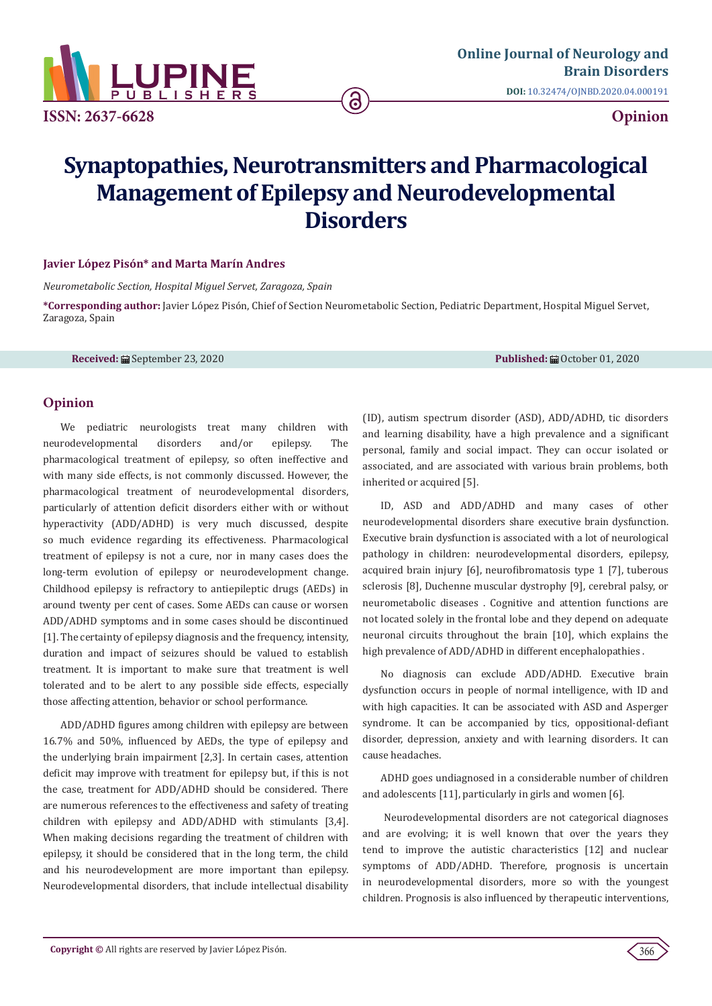

# **Synaptopathies, Neurotransmitters and Pharmacological Management of Epilepsy and Neurodevelopmental Disorders**

<u>ි</u>

### **Javier López Pisón\* and Marta Marín Andres**

*Neurometabolic Section, Hospital Miguel Servet, Zaragoza, Spain*

**\*Corresponding author:** Javier López Pisón, Chief of Section Neurometabolic Section, Pediatric Department, Hospital Miguel Servet, Zaragoza, Spain

**Received:** ■ September 23, 2020 **Published:** ■ Published: ■ October 01, 2020

# **Opinion**

We pediatric neurologists treat many children with neurodevelopmental disorders and/or epilepsy. The pharmacological treatment of epilepsy, so often ineffective and with many side effects, is not commonly discussed. However, the pharmacological treatment of neurodevelopmental disorders, particularly of attention deficit disorders either with or without hyperactivity (ADD/ADHD) is very much discussed, despite so much evidence regarding its effectiveness. Pharmacological treatment of epilepsy is not a cure, nor in many cases does the long-term evolution of epilepsy or neurodevelopment change. Childhood epilepsy is refractory to antiepileptic drugs (AEDs) in around twenty per cent of cases. Some AEDs can cause or worsen ADD/ADHD symptoms and in some cases should be discontinued [1]. The certainty of epilepsy diagnosis and the frequency, intensity, duration and impact of seizures should be valued to establish treatment. It is important to make sure that treatment is well tolerated and to be alert to any possible side effects, especially those affecting attention, behavior or school performance.

ADD/ADHD figures among children with epilepsy are between 16.7% and 50%, influenced by AEDs, the type of epilepsy and the underlying brain impairment [2,3]. In certain cases, attention deficit may improve with treatment for epilepsy but, if this is not the case, treatment for ADD/ADHD should be considered. There are numerous references to the effectiveness and safety of treating children with epilepsy and ADD/ADHD with stimulants [3,4]. When making decisions regarding the treatment of children with epilepsy, it should be considered that in the long term, the child and his neurodevelopment are more important than epilepsy. Neurodevelopmental disorders, that include intellectual disability

(ID), autism spectrum disorder (ASD), ADD/ADHD, tic disorders and learning disability, have a high prevalence and a significant personal, family and social impact. They can occur isolated or associated, and are associated with various brain problems, both inherited or acquired [5].

ID, ASD and ADD/ADHD and many cases of other neurodevelopmental disorders share executive brain dysfunction. Executive brain dysfunction is associated with a lot of neurological pathology in children: neurodevelopmental disorders, epilepsy, acquired brain injury [6], neurofibromatosis type 1 [7], tuberous sclerosis [8], Duchenne muscular dystrophy [9], cerebral palsy, or neurometabolic diseases . Cognitive and attention functions are not located solely in the frontal lobe and they depend on adequate neuronal circuits throughout the brain [10], which explains the high prevalence of ADD/ADHD in different encephalopathies .

No diagnosis can exclude ADD/ADHD. Executive brain dysfunction occurs in people of normal intelligence, with ID and with high capacities. It can be associated with ASD and Asperger syndrome. It can be accompanied by tics, oppositional-defiant disorder, depression, anxiety and with learning disorders. It can cause headaches.

ADHD goes undiagnosed in a considerable number of children and adolescents [11], particularly in girls and women [6].

 Neurodevelopmental disorders are not categorical diagnoses and are evolving; it is well known that over the years they tend to improve the autistic characteristics [12] and nuclear symptoms of ADD/ADHD. Therefore, prognosis is uncertain in neurodevelopmental disorders, more so with the youngest children. Prognosis is also influenced by therapeutic interventions,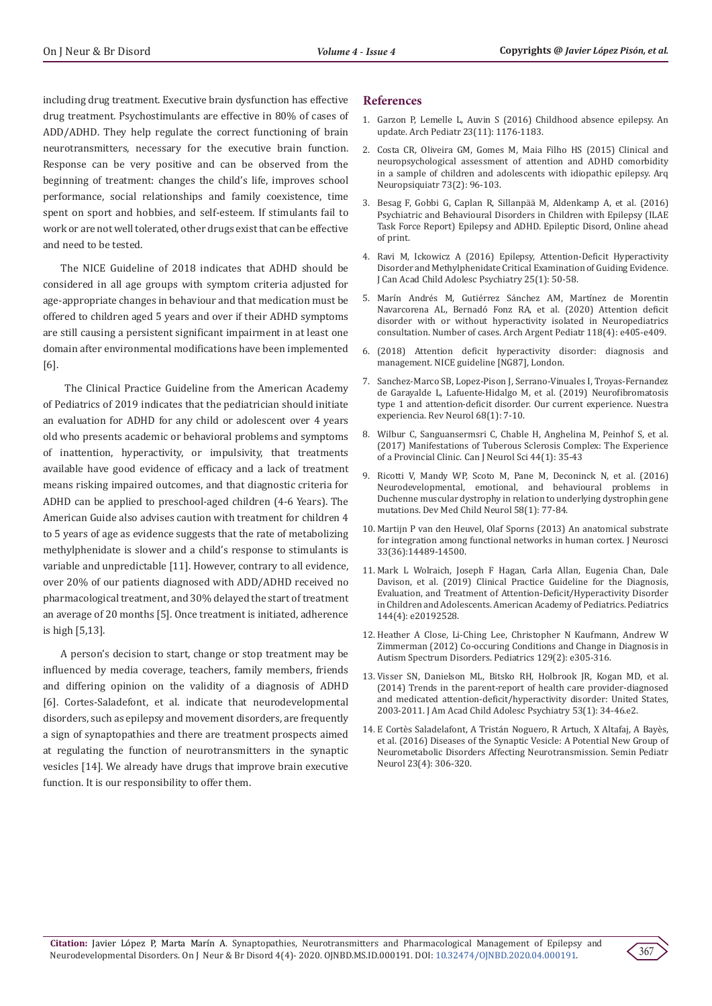including drug treatment. Executive brain dysfunction has effective drug treatment. Psychostimulants are effective in 80% of cases of ADD/ADHD. They help regulate the correct functioning of brain neurotransmitters, necessary for the executive brain function. Response can be very positive and can be observed from the beginning of treatment: changes the child's life, improves school performance, social relationships and family coexistence, time spent on sport and hobbies, and self-esteem. If stimulants fail to work or are not well tolerated, other drugs exist that can be effective and need to be tested.

The NICE Guideline of 2018 indicates that ADHD should be considered in all age groups with symptom criteria adjusted for age-appropriate changes in behaviour and that medication must be offered to children aged 5 years and over if their ADHD symptoms are still causing a persistent significant impairment in at least one domain after environmental modifications have been implemented [6].

 The Clinical Practice Guideline from the American Academy of Pediatrics of 2019 indicates that the pediatrician should initiate an evaluation for ADHD for any child or adolescent over 4 years old who presents academic or behavioral problems and symptoms of inattention, hyperactivity, or impulsivity, that treatments available have good evidence of efficacy and a lack of treatment means risking impaired outcomes, and that diagnostic criteria for ADHD can be applied to preschool-aged children (4-6 Years). The American Guide also advises caution with treatment for children 4 to 5 years of age as evidence suggests that the rate of metabolizing methylphenidate is slower and a child's response to stimulants is variable and unpredictable [11]. However, contrary to all evidence, over 20% of our patients diagnosed with ADD/ADHD received no pharmacological treatment, and 30% delayed the start of treatment an average of 20 months [5]. Once treatment is initiated, adherence is high [5,13].

A person's decision to start, change or stop treatment may be influenced by media coverage, teachers, family members, friends and differing opinion on the validity of a diagnosis of ADHD [6]. Cortes-Saladefont, et al. indicate that neurodevelopmental disorders, such as epilepsy and movement disorders, are frequently a sign of synaptopathies and there are treatment prospects aimed at regulating the function of neurotransmitters in the synaptic vesicles [14]. We already have drugs that improve brain executive function. It is our responsibility to offer them.

#### **References**

- 1. [Garzon P, Lemelle L, Auvin S \(2016\) Childhood absence epilepsy. An](https://pubmed.ncbi.nlm.nih.gov/27683026/) [update. Arch Pediatr 23\(11\): 1176-1183.](https://pubmed.ncbi.nlm.nih.gov/27683026/)
- 2. [Costa CR, Oliveira GM, Gomes M, Maia Filho HS \(2015\) Clinical and](https://pubmed.ncbi.nlm.nih.gov/25742577/) [neuropsychological assessment of attention and ADHD comorbidity](https://pubmed.ncbi.nlm.nih.gov/25742577/) [in a sample of children and adolescents with idiopathic epilepsy. Arq](https://pubmed.ncbi.nlm.nih.gov/25742577/) [Neuropsiquiatr 73\(2\): 96-103.](https://pubmed.ncbi.nlm.nih.gov/25742577/)
- 3. [Besag F, Gobbi G, Caplan R, Sillanpää M, Aldenkamp A, et al. \(2016\)](https://pubmed.ncbi.nlm.nih.gov/27210536/) [Psychiatric and Behavioural Disorders in Children with Epilepsy \(ILAE](https://pubmed.ncbi.nlm.nih.gov/27210536/) [Task Force Report\) Epilepsy and ADHD. Epileptic Disord, Online ahead](https://pubmed.ncbi.nlm.nih.gov/27210536/) [of print.](https://pubmed.ncbi.nlm.nih.gov/27210536/)
- 4. [Ravi M, Ickowicz A \(2016\) Epilepsy, Attention-Deficit Hyperactivity](https://pubmed.ncbi.nlm.nih.gov/27047557/) [Disorder and Methylphenidate Critical Examination of Guiding Evidence.](https://pubmed.ncbi.nlm.nih.gov/27047557/) [J Can Acad Child Adolesc Psychiatry 25\(1\): 50-58.](https://pubmed.ncbi.nlm.nih.gov/27047557/)
- 5. [Marín Andrés M, Gutiérrez Sánchez AM, Martínez de Morentin](https://www.sap.org.ar/docs/publicaciones/archivosarg/2020/v118n4a18.pdf) [Navarcorena AL, Bernadó Fonz RA, et al. \(2020\) Attention deficit](https://www.sap.org.ar/docs/publicaciones/archivosarg/2020/v118n4a18.pdf) [disorder with or without hyperactivity isolated in Neuropediatrics](https://www.sap.org.ar/docs/publicaciones/archivosarg/2020/v118n4a18.pdf) [consultation. Number of cases. Arch Argent Pediatr 118\(4\): e405-e409.](https://www.sap.org.ar/docs/publicaciones/archivosarg/2020/v118n4a18.pdf)
- 6. [\(2018\) Attention deficit hyperactivity disorder: diagnosis and](https://www.nice.org.uk/guidance/ng87) [management. NICE guideline \[NG87\], London.](https://www.nice.org.uk/guidance/ng87)
- 7. [Sanchez-Marco SB, Lopez-Pison J, Serrano-Vinuales I, Troyas-Fernandez](https://pubmed.ncbi.nlm.nih.gov/30560983/) [de Garayalde L, Lafuente-Hidalgo M, et al. \(2019\) Neurofibromatosis](https://pubmed.ncbi.nlm.nih.gov/30560983/) [type 1 and attention-deficit disorder. Our current experience. Nuestra](https://pubmed.ncbi.nlm.nih.gov/30560983/) [experiencia. Rev Neurol 68\(1\): 7-10.](https://pubmed.ncbi.nlm.nih.gov/30560983/)
- 8. [Wilbur C, Sanguansermsri C, Chable H, Anghelina M, Peinhof S, et al.](https://pubmed.ncbi.nlm.nih.gov/28004629/) [\(2017\) Manifestations of Tuberous Sclerosis Complex: The Experience](https://pubmed.ncbi.nlm.nih.gov/28004629/) [of a Provincial Clinic. Can J Neurol Sci 44\(1\): 35-43](https://pubmed.ncbi.nlm.nih.gov/28004629/)
- 9. [Ricotti V, Mandy WP, Scoto M, Pane M, Deconinck N, et al. \(2016\)](https://pubmed.ncbi.nlm.nih.gov/26365034/) [Neurodevelopmental, emotional, and behavioural problems in](https://pubmed.ncbi.nlm.nih.gov/26365034/) [Duchenne muscular dystrophy in relation to underlying dystrophin gene](https://pubmed.ncbi.nlm.nih.gov/26365034/) [mutations. Dev Med Child Neurol 58\(1\): 77-84.](https://pubmed.ncbi.nlm.nih.gov/26365034/)
- 10. [Martijn P van den Heuvel, Olaf Sporns \(2013\) An anatomical substrate](https://pubmed.ncbi.nlm.nih.gov/24005300/) [for integration among functional networks in human cortex. J Neurosci](https://pubmed.ncbi.nlm.nih.gov/24005300/) [33\(36\):14489-14500.](https://pubmed.ncbi.nlm.nih.gov/24005300/)
- 11. [Mark L Wolraich, Joseph F Hagan, Carla Allan, Eugenia Chan, Dale](https://pubmed.ncbi.nlm.nih.gov/31570648/) [Davison, et al. \(2019\) Clinical Practice Guideline for the Diagnosis,](https://pubmed.ncbi.nlm.nih.gov/31570648/) [Evaluation, and Treatment of Attention-Deficit/Hyperactivity Disorder](https://pubmed.ncbi.nlm.nih.gov/31570648/) [in Children and Adolescents. American Academy of Pediatrics. Pediatrics](https://pubmed.ncbi.nlm.nih.gov/31570648/) [144\(4\): e20192528.](https://pubmed.ncbi.nlm.nih.gov/31570648/)
- 12. [Heather A Close, Li-Ching Lee, Christopher N Kaufmann, Andrew W](https://pubmed.ncbi.nlm.nih.gov/22271695/) [Zimmerman \(2012\) Co-occuring Conditions and Change in Diagnosis in](https://pubmed.ncbi.nlm.nih.gov/22271695/) [Autism Spectrum Disorders. Pediatrics 129\(2\): e305-316.](https://pubmed.ncbi.nlm.nih.gov/22271695/)
- 13. [Visser SN, Danielson ML, Bitsko RH, Holbrook JR, Kogan MD, et al.](https://pubmed.ncbi.nlm.nih.gov/24342384/) [\(2014\) Trends in the parent-report of health care provider-diagnosed](https://pubmed.ncbi.nlm.nih.gov/24342384/) [and medicated attention-deficit/hyperactivity disorder: United States,](https://pubmed.ncbi.nlm.nih.gov/24342384/) [2003-2011. J Am Acad Child Adolesc Psychiatry 53\(1\): 34-46.e2.](https://pubmed.ncbi.nlm.nih.gov/24342384/)
- 14. [E Cortès Saladelafont, A Tristán Noguero, R Artuch, X Altafaj, A Bayès,](https://pubmed.ncbi.nlm.nih.gov/28284392/) [et al. \(2016\) Diseases of the Synaptic Vesicle: A Potential New Group of](https://pubmed.ncbi.nlm.nih.gov/28284392/) [Neurometabolic Disorders Affecting Neurotransmission. Semin Pediatr](https://pubmed.ncbi.nlm.nih.gov/28284392/) [Neurol 23\(4\): 306-320.](https://pubmed.ncbi.nlm.nih.gov/28284392/)